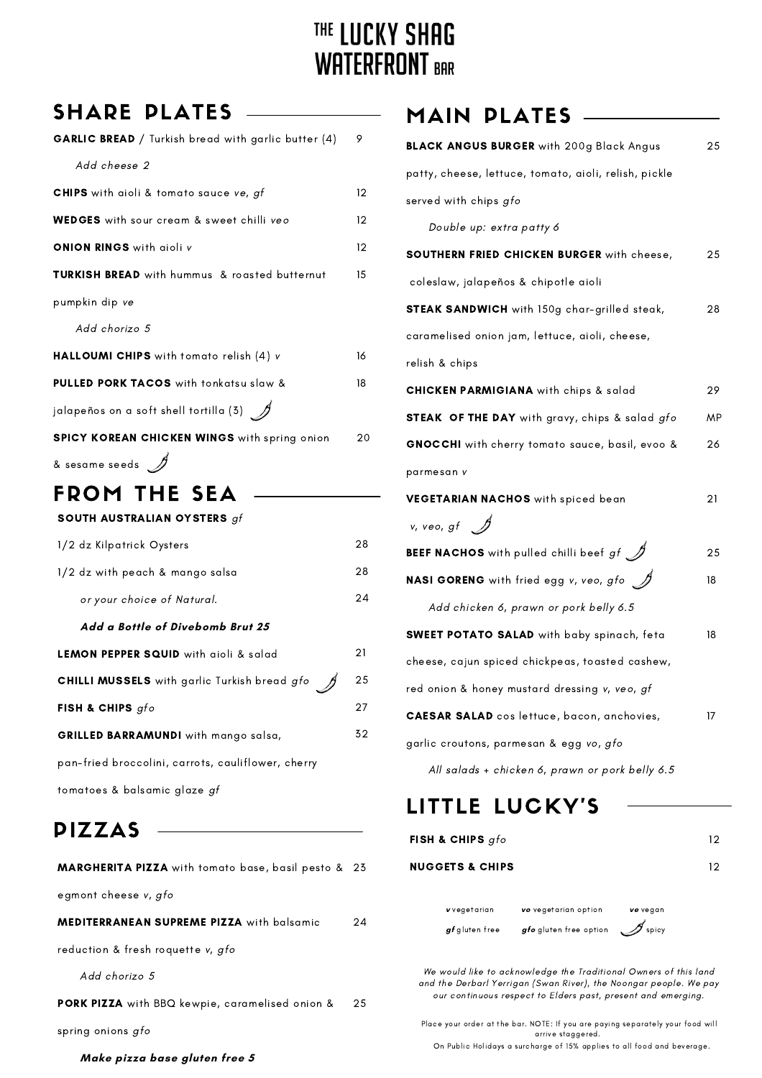# THE LUCKY SHAG **WATERFRONT BAR**

### SHARE PLATES

| <b>GARLIC BREAD</b> / Turkish bread with garlic butter (4)     | 9               |
|----------------------------------------------------------------|-----------------|
| Add cheese 2                                                   |                 |
| CHIPS with aioli & tomato sauce ve, gf                         | 12 <sup>2</sup> |
| <b>WEDGES</b> with sour cream & sweet chilli veo               | $12 \,$         |
| <b>ONION RINGS</b> with aioli v                                | 12              |
| <b>TURKISH BREAD</b> with hummus & roasted butternut           | 15              |
| pumpkin dip ve                                                 |                 |
| Add chorizo 5                                                  |                 |
| HALLOUMI CHIPS with tomato relish (4) v                        | 16              |
| PULLED PORK TACOS with tonkatsu slaw &                         | 18              |
| jalapeños on a soft shell tortilla (3) $\quad$ $\!\mathscr{D}$ |                 |
| <b>SPICY KOREAN CHICKEN WINGS</b> with spring onion            | 20              |
| – A                                                            |                 |

### & sesame seeds  $\mathscr{D}$

### FROM THE SEA

| SOUTH AUSTRALIAN OYSTERS $gf$                       |    |
|-----------------------------------------------------|----|
| 1/2 dz Kilpatrick Oysters                           | 28 |
| 1/2 dz with peach & mango salsa                     | 28 |
| or your choice of Natural.                          | 24 |
| Add a Bottle of Divebomb Brut 25                    |    |
| <b>LEMON PEPPER SQUID</b> with aioli & salad        | 21 |
| <b>CHILLI MUSSELS</b> with garlic Turkish bread gfo | 25 |
| <b>FISH &amp; CHIPS</b> $gfo$                       | 27 |
| GRILLED BARRAMUNDI with mango salsa,                | 32 |
| pan-fried broccolini, carrots, cauliflower, cherry  |    |
| tomatoes & balsamic glaze gf                        |    |

### PIZZAS

| <b>MARGHERITA PIZZA</b> with tomato base, basil pesto & 23 |     |
|------------------------------------------------------------|-----|
| egmont cheese v, gfo                                       |     |
| MEDITERRANEAN SUPREME PIZZA with balsamic                  | 24  |
| reduction & fresh roquette v, gfo                          |     |
| Add chorizo 5                                              |     |
| PORK PIZZA with BBQ kewpie, caramelised onion &            | 25. |
| spring onions gfo                                          |     |
| Make pizza base gluten free 5                              |     |

### MAIN PLATES

| <b>BLACK ANGUS BURGER</b> with 200g Black Angus             | 25 |
|-------------------------------------------------------------|----|
| patty, cheese, lettuce, tomato, aioli, relish, pickle       |    |
| served with chips gfo                                       |    |
| Double up: extra patty 6                                    |    |
| SOUTHERN FRIED CHICKEN BURGER with cheese,                  | 25 |
| coleslaw, jalapeños & chipotle aioli                        |    |
| <b>STEAK SANDWICH</b> with 150g char-grilled steak,         | 28 |
| caramelised onion jam, lettuce, aioli, cheese,              |    |
| relish & chips                                              |    |
| <b>CHICKEN PARMIGIANA</b> with chips & salad                | 29 |
| <b>STEAK OF THE DAY</b> with gravy, chips & salad gfo       | ΜP |
| GNOCCHI with cherry tomato sauce, basil, evoo &             | 26 |
| parmesan v                                                  |    |
| VEGETARIAN NACHOS with spiced bean                          | 21 |
| $v, v$ eo, gf $\mathscr{D}$                                 |    |
| BEEF NACHOS with pulled chilli beef $gf\mathcal{A}$         | 25 |
| <b>NASI GORENG</b> with fried egg v, veo, gfo $\mathscr{J}$ | 18 |
| Add chicken 6, prawn or pork belly 6.5                      |    |
| <b>SWEET POTATO SALAD</b> with baby spinach, feta           | 18 |
| cheese, cajun spiced chickpeas, toasted cashew,             |    |
| red onion & honey mustard dressing v, veo, gf               |    |
| <b>CAESAR SALAD</b> cos lettuce, bacon, anchovies,          | 17 |
| garlic croutons, parmesan & egg vo, gfo                     |    |
|                                                             |    |

All salads + chicken 6, prawn or pork belly 6.5

### LITTLE LUCKY'S

| FISH & CHIPS gfo           |                        |          | 12 |
|----------------------------|------------------------|----------|----|
| <b>NUGGETS &amp; CHIPS</b> |                        |          | 12 |
|                            |                        |          |    |
| v vegetarian               | vo vegetarian option   | ve vegan |    |
| gf gluten free             | gfo gluten free option | spicy    |    |

We would like to acknowledge the Traditional Owners of this land and the Derbarl Yerrigan (Swan River), the Noongar people. We pay our continuous respect to Elders past, present and emerging.

Place your order at the bar. NOTE: If you are paying separately your food will arrive staggered.

On Public Holidays a surcharge of 15% applies to all food and beverage.